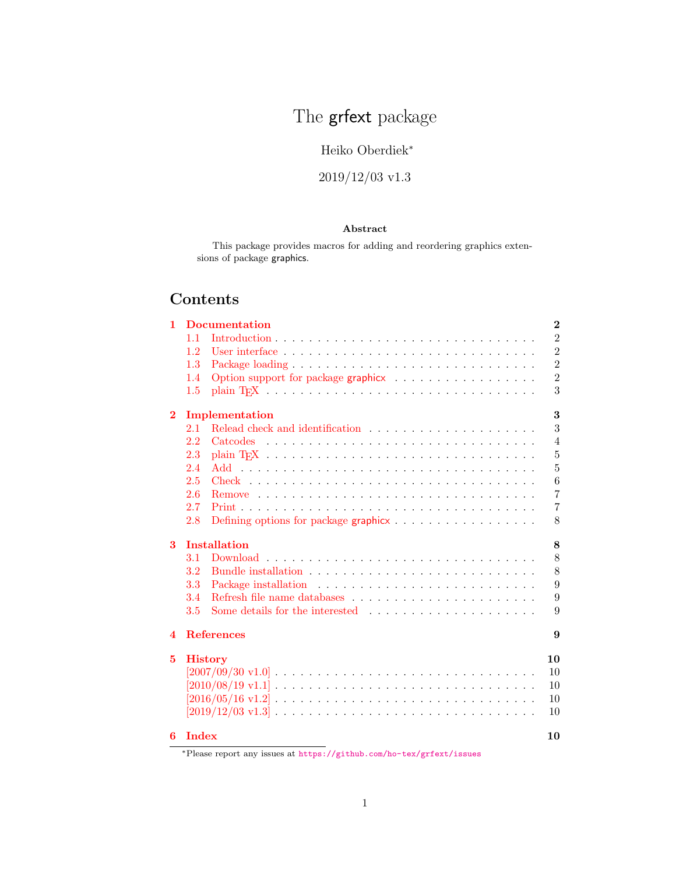# The **grfext** package

## Heiko Oberdiek<sup>∗</sup>

## 2019/12/03 v1.3

## Abstract

This package provides macros for adding and reordering graphics extensions of package graphics.

## Contents

|                        |          | $\overline{2}$                                                                                                                                                                                                                             |  |  |  |  |
|------------------------|----------|--------------------------------------------------------------------------------------------------------------------------------------------------------------------------------------------------------------------------------------------|--|--|--|--|
| 1.1                    |          | $\overline{2}$                                                                                                                                                                                                                             |  |  |  |  |
| 1.2                    |          | $\overline{2}$                                                                                                                                                                                                                             |  |  |  |  |
| 1.3                    |          | $\overline{2}$                                                                                                                                                                                                                             |  |  |  |  |
| 1.4                    |          | $\overline{2}$                                                                                                                                                                                                                             |  |  |  |  |
| 1.5                    |          | 3                                                                                                                                                                                                                                          |  |  |  |  |
|                        | 3        |                                                                                                                                                                                                                                            |  |  |  |  |
| 2.1                    |          | 3                                                                                                                                                                                                                                          |  |  |  |  |
| 2.2                    | Catcodes | $\overline{4}$                                                                                                                                                                                                                             |  |  |  |  |
| 2.3                    |          | $\bf 5$                                                                                                                                                                                                                                    |  |  |  |  |
| 2.4                    |          | $\overline{5}$                                                                                                                                                                                                                             |  |  |  |  |
| 2.5                    |          | 6                                                                                                                                                                                                                                          |  |  |  |  |
| 2.6                    |          | $\overline{7}$                                                                                                                                                                                                                             |  |  |  |  |
| 2.7                    |          | $\overline{7}$                                                                                                                                                                                                                             |  |  |  |  |
| 2.8                    |          | 8                                                                                                                                                                                                                                          |  |  |  |  |
|                        | 8        |                                                                                                                                                                                                                                            |  |  |  |  |
| 3.1                    |          | 8                                                                                                                                                                                                                                          |  |  |  |  |
| 3.2                    |          | 8                                                                                                                                                                                                                                          |  |  |  |  |
| 3.3                    |          | 9                                                                                                                                                                                                                                          |  |  |  |  |
| 3.4                    |          | 9                                                                                                                                                                                                                                          |  |  |  |  |
| 3.5                    |          | 9                                                                                                                                                                                                                                          |  |  |  |  |
| <b>References</b><br>9 |          |                                                                                                                                                                                                                                            |  |  |  |  |
|                        |          | 10                                                                                                                                                                                                                                         |  |  |  |  |
|                        |          | 10                                                                                                                                                                                                                                         |  |  |  |  |
|                        |          | 10                                                                                                                                                                                                                                         |  |  |  |  |
|                        |          | 10                                                                                                                                                                                                                                         |  |  |  |  |
|                        |          | 10                                                                                                                                                                                                                                         |  |  |  |  |
|                        |          | 10                                                                                                                                                                                                                                         |  |  |  |  |
|                        |          | <b>Documentation</b><br>Implementation<br><b>Installation</b><br><b>History</b><br>$[2007/09/30 \text{ v}1.0]$<br>$[2019/12/03 \text{ v}1.3] \ldots \ldots \ldots \ldots \ldots \ldots \ldots \ldots \ldots \ldots \ldots$<br><b>Index</b> |  |  |  |  |

<sup>∗</sup>Please report any issues at <https://github.com/ho-tex/grfext/issues>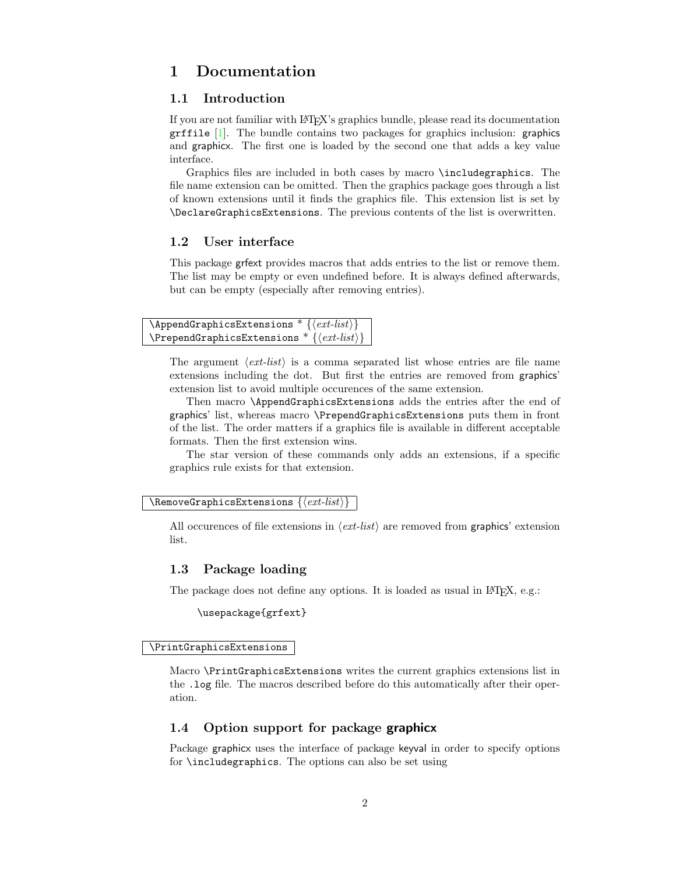## <span id="page-1-0"></span>1 Documentation

### <span id="page-1-1"></span>1.1 Introduction

If you are not familiar with LATEX's graphics bundle, please read its documentation  $grffile [1]$  $grffile [1]$ . The bundle contains two packages for graphics inclusion: graphics and graphicx. The first one is loaded by the second one that adds a key value interface.

Graphics files are included in both cases by macro \includegraphics. The file name extension can be omitted. Then the graphics package goes through a list of known extensions until it finds the graphics file. This extension list is set by \DeclareGraphicsExtensions. The previous contents of the list is overwritten.

## <span id="page-1-2"></span>1.2 User interface

This package grfext provides macros that adds entries to the list or remove them. The list may be empty or even undefined before. It is always defined afterwards, but can be empty (especially after removing entries).

```
\DeltappendGraphicsExtensions * \{ \langle ext\text{-}list \rangle \}\text{PrependGraphics}Extensions \text{* } \{ \text{ext-list} \}
```
The argument  $\langle ext\text{-}list\rangle$  is a comma separated list whose entries are file name extensions including the dot. But first the entries are removed from graphics' extension list to avoid multiple occurences of the same extension.

Then macro \AppendGraphicsExtensions adds the entries after the end of graphics' list, whereas macro \PrependGraphicsExtensions puts them in front of the list. The order matters if a graphics file is available in different acceptable formats. Then the first extension wins.

The star version of these commands only adds an extensions, if a specific graphics rule exists for that extension.

#### <span id="page-1-7"></span> $\verb|\RemoveGraphicsExtensions {|*ext-list*}|$

All occurences of file extensions in  $\langle ext\text{-}list\rangle$  are removed from graphics' extension list.

### <span id="page-1-3"></span>1.3 Package loading

The package does not define any options. It is loaded as usual in LAT<sub>EX</sub>, e.g.:

\usepackage{grfext}

#### <span id="page-1-6"></span>\PrintGraphicsExtensions

Macro \PrintGraphicsExtensions writes the current graphics extensions list in the .log file. The macros described before do this automatically after their operation.

### <span id="page-1-4"></span>1.4 Option support for package graphicx

Package graphicx uses the interface of package keyval in order to specify options for \includegraphics. The options can also be set using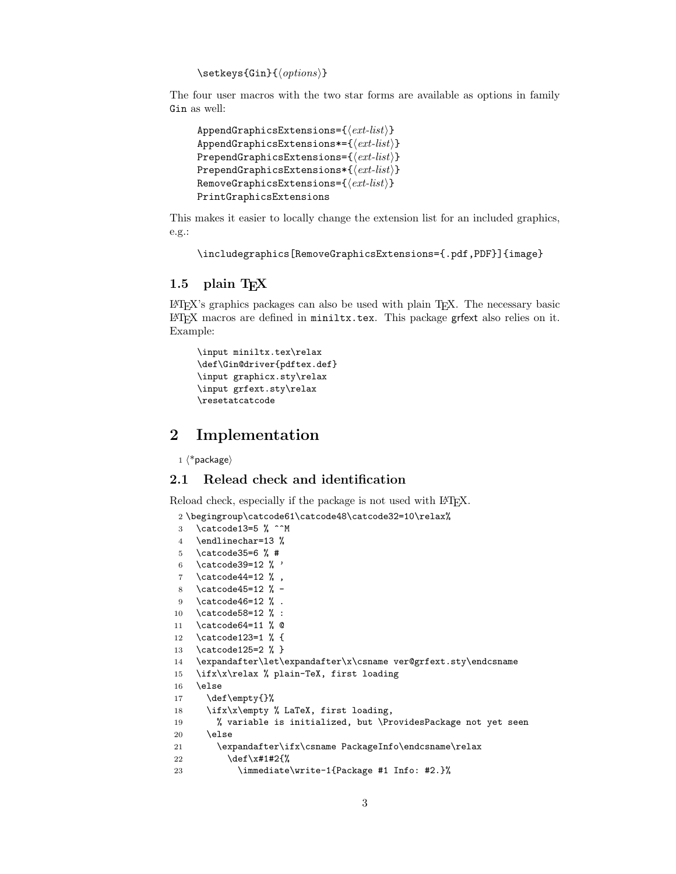$\verb|\setkeys{Gin}{\langle options\rangle}|$ 

The four user macros with the two star forms are available as options in family Gin as well:

```
AppendGraphicsExtensions={\langle ext-list \rangle}
AppendGraphicsExtensions*={\langle ext-list \rangle}
PrependGraphicsExtensions=\{\langle ext\text{-}list \rangle\}PrependGraphicsExtensions*{\langle ext\text{-}list \rangle}
RemoveGraphicsExtensions={\langle ext-list \rangle}
PrintGraphicsExtensions
```
This makes it easier to locally change the extension list for an included graphics, e.g.:

```
\includegraphics[RemoveGraphicsExtensions={.pdf,PDF}]{image}
```
## <span id="page-2-0"></span>1.5 plain  $T_F X$

LATEX's graphics packages can also be used with plain TEX. The necessary basic LATEX macros are defined in miniltx.tex. This package grfext also relies on it. Example:

```
\input miniltx.tex\relax
\def\Gin@driver{pdftex.def}
\input graphicx.sty\relax
\input grfext.sty\relax
\resetatcatcode
```
## <span id="page-2-1"></span>2 Implementation

 $1 \langle *packet$ ackage $\rangle$ 

### <span id="page-2-2"></span>2.1 Relead check and identification

Reload check, especially if the package is not used with L<sup>AT</sup>FX.

<span id="page-2-3"></span>2 \begingroup\catcode61\catcode48\catcode32=10\relax%

```
3 \catcode13=5 % ^^M
4 \endlinechar=13 %
5 \catcode35=6 % #
6 \catcode39=12 % '
7 \catcode44=12 \%,
8 \catcode45=12 % -
9 \catcode46=12 % .
10 \catcode58=12 % :
11 \catcode64=11 % @
12 \catcode123=1 % {
13 \catcode125=2 % }
14 \expandafter\let\expandafter\x\csname ver@grfext.sty\endcsname
15 \ifx\x\relax % plain-TeX, first loading
16 \else
17 \def\empty{}%
18 \ifx\x\empty % LaTeX, first loading,
19 % variable is initialized, but \ProvidesPackage not yet seen
20 \else
21 \expandafter\ifx\csname PackageInfo\endcsname\relax
22 \det\{x\#1\#2\}23 \immediate\write-1{Package #1 Info: #2.}%
```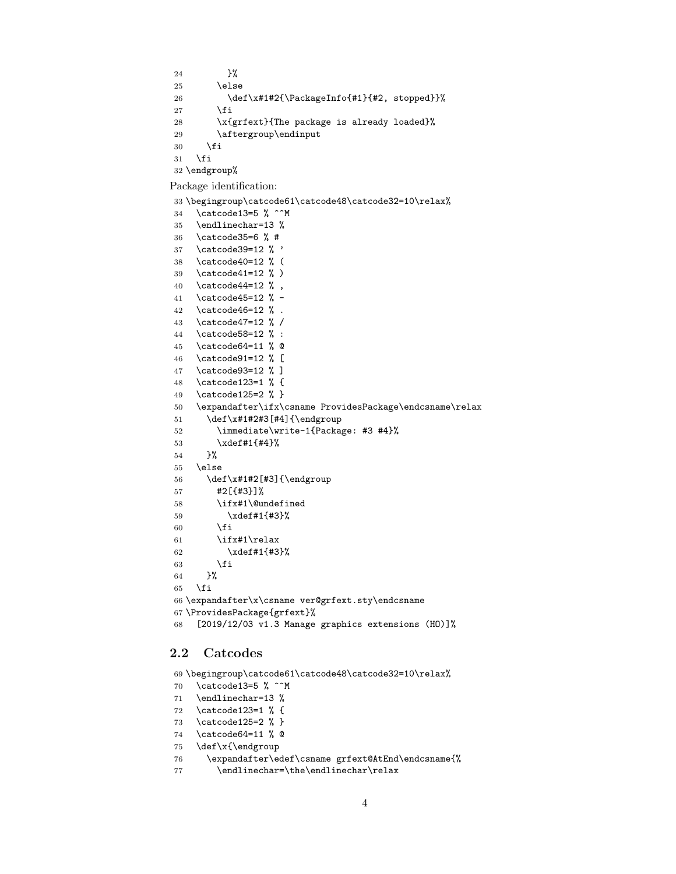<span id="page-3-32"></span>24 }%  $25 \qquad \text{leless}$ 26 \def\x#1#2{\PackageInfo{#1}{#2, stopped}}% 27  $\setminus$ fi 28 \x{grfext}{The package is already loaded}% 29 \aftergroup\endinput \fi  $31 \quad \text{if}$ 

<span id="page-3-34"></span><span id="page-3-2"></span>\endgroup%

Package identification:

<span id="page-3-3"></span>\begingroup\catcode61\catcode48\catcode32=10\relax%

```
34 \catcode13=5 % ^^M
35 \endlinechar=13 %
36 \catcode35=6 % #
37 \catcode39=12 % '
38 \catcode40=12 % (
39 \catcode41=12 % )
40 \catcode44=12 \%,
41 \catcode45=12 % -
42 \catcode46=12 % .
43 \catcode47=12 % /
44 \catcode58=12 % :
45 \catcode64=11 % @
46 \catcode91=12 % [
47 \catcode93=12 % ]
48 \catcode123=1 % {
49 \catcode125=2 % }
50 \expandafter\ifx\csname ProvidesPackage\endcsname\relax
51 \def\x#1#2#3[#4]{\endgroup
52 \immediate\write-1{Package: #3 #4}%
53 \xdef#1{#4}%
54 }%
55 \else
56 \def\x#1#2[#3]{\endgroup
57 #2[{#3}]%
58 \ifx#1\@undefined
59 \xdef#1{#3}%
60 \overline{\text{f}i}61 \iint x #1\relax62 \xdef#1{#3}%
63 \overline{\phantom{a}} \fi
64 }%
65 \fi
66 \expandafter\x\csname ver@grfext.sty\endcsname
67 \ProvidesPackage{grfext}%
68 [2019/12/03 v1.3 Manage graphics extensions (HO)]%
```
### <span id="page-3-36"></span><span id="page-3-33"></span><span id="page-3-30"></span><span id="page-3-25"></span><span id="page-3-1"></span><span id="page-3-0"></span>2.2 Catcodes

<span id="page-3-19"></span>\begingroup\catcode61\catcode48\catcode32=10\relax%

- <span id="page-3-20"></span>\catcode13=5 % ^^M
- <span id="page-3-28"></span>\endlinechar=13 %
- <span id="page-3-21"></span>\catcode123=1 % {
- <span id="page-3-22"></span>\catcode125=2 % }
- <span id="page-3-23"></span>\catcode64=11 % @
- <span id="page-3-37"></span>\def\x{\endgroup
- <span id="page-3-26"></span>\expandafter\edef\csname grfext@AtEnd\endcsname{%
- <span id="page-3-29"></span>77 \endlinechar=\the\endlinechar\relax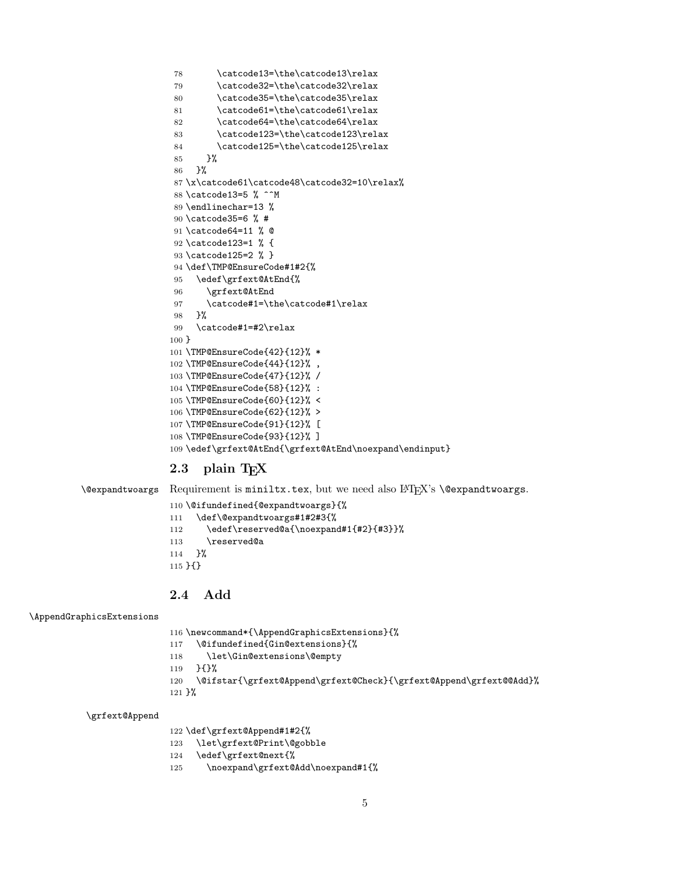```
78 \catcode13=\the\catcode13\relax
79 \catcode32=\the\catcode32\relax
80 \catcode35=\the\catcode35\relax
81 \catcode61=\the\catcode61\relax
82 \catcode64=\the\catcode64\relax
83 \catcode123=\the\catcode123\relax
84 \catcode125=\the\catcode125\relax
85 }%
86 }%
87 \x\catcode61\catcode48\catcode32=10\relax%
88 \catcode13=5 % ^^M
89 \endlinechar=13 %
90 \catcode35=6 % #
91 \catcode64=11 % @
92 \catcode123=1 % {
93 \catcode125=2 % }
94 \def\TMP@EnsureCode#1#2{%
95 \edef\grfext@AtEnd{%
96 \grfext@AtEnd
97 \catcode#1=\the\catcode#1\relax
98 }%
99 \catcode#1=#2\relax
100 }
101 \TMP@EnsureCode{42}{12}% *
102 \TMP@EnsureCode{44}{12}% ,
103 \TMP@EnsureCode{47}{12}% /
104 \TMP@EnsureCode{58}{12}% :
105 \TMP@EnsureCode{60}{12}% <
106 \TMP@EnsureCode{62}{12}% >
107 \TMP@EnsureCode{91}{12}% [
108 \TMP@EnsureCode{93}{12}% ]
109 \edef\grfext@AtEnd{\grfext@AtEnd\noexpand\endinput}
```
## <span id="page-4-42"></span><span id="page-4-41"></span><span id="page-4-40"></span><span id="page-4-39"></span><span id="page-4-38"></span><span id="page-4-37"></span><span id="page-4-36"></span><span id="page-4-35"></span><span id="page-4-29"></span><span id="page-4-28"></span><span id="page-4-24"></span><span id="page-4-23"></span><span id="page-4-22"></span><span id="page-4-0"></span>2.3 plain  $T_F X$

<span id="page-4-3"></span> $\text{N}$ expandtwoargs Requirement is miniltx.tex, but we need also  $\text{ETr}X$ 's  $\text{Q}$ expandtwoargs.

```
110 \@ifundefined{@expandtwoargs}{%
111 \def\@expandtwoargs#1#2#3{%
112 \edef\reserved@a{\noexpand#1{#2}{#3}}%
113 \reserved@a
114 }%
115 }{}
```
## <span id="page-4-1"></span>2.4 Add

<span id="page-4-8"></span>\AppendGraphicsExtensions

```
116 \newcommand*{\AppendGraphicsExtensions}{%
117 \@ifundefined{Gin@extensions}{%
118 \let\Gin@extensions\@empty
119 }{}%
120 \@ifstar{\grfext@Append\grfext@Check}{\grfext@Append\grfext@@Add}%
121 }%
```
<span id="page-4-27"></span>\grfext@Append

\def\grfext@Append#1#2{%

```
123 \let\grfext@Print\@gobble
```
- <span id="page-4-30"></span>\edef\grfext@next{%
- <span id="page-4-26"></span>\noexpand\grfext@Add\noexpand#1{%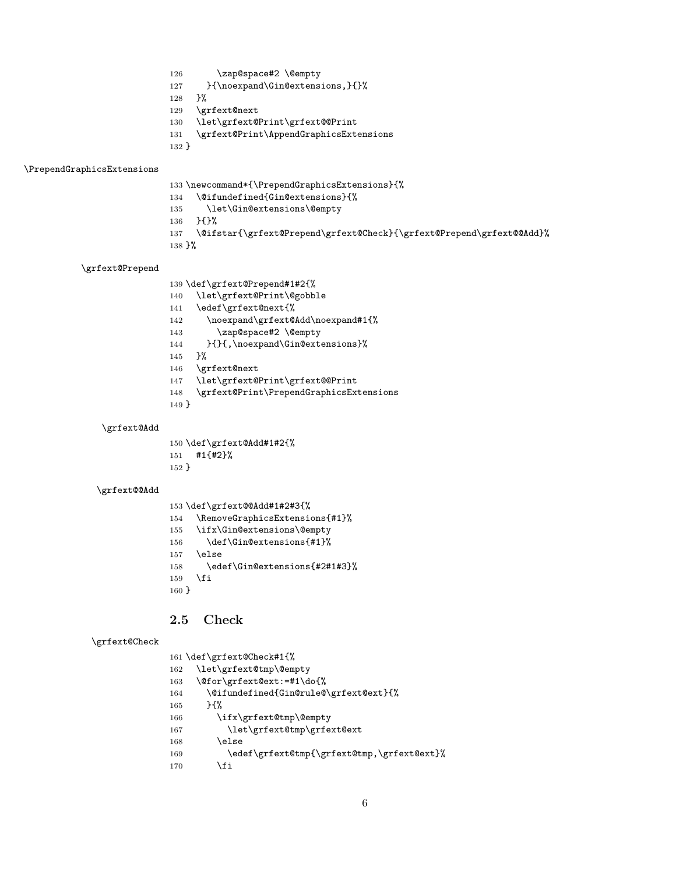- <span id="page-5-1"></span>126 \zap@space#2 \@empty
- <span id="page-5-13"></span>127 }{\noexpand\Gin@extensions,}{}%
- }%
- <span id="page-5-25"></span>\grfext@next
- <span id="page-5-18"></span>\let\grfext@Print\grfext@@Print
- <span id="page-5-12"></span>\grfext@Print\AppendGraphicsExtensions
- }

#### <span id="page-5-31"></span>\PrependGraphicsExtensions

- <span id="page-5-30"></span>\newcommand\*{\PrependGraphicsExtensions}{%
- <span id="page-5-10"></span>\@ifundefined{Gin@extensions}{%
- <span id="page-5-2"></span>\let\Gin@extensions\@empty
- }{}%
- <span id="page-5-9"></span>\@ifstar{\grfext@Prepend\grfext@Check}{\grfext@Prepend\grfext@@Add}%
- }%

#### <span id="page-5-28"></span>\grfext@Prepend

- \def\grfext@Prepend#1#2{%
- <span id="page-5-8"></span>\let\grfext@Print\@gobble
- <span id="page-5-26"></span>\edef\grfext@next{%
- <span id="page-5-20"></span>\noexpand\grfext@Add\noexpand#1{%
- <span id="page-5-3"></span>143 \zap@space#2 \@empty
- <span id="page-5-14"></span>144 }{}{,\noexpand\Gin@extensions}%
- }%
- <span id="page-5-27"></span>\grfext@next
- <span id="page-5-19"></span>\let\grfext@Print\grfext@@Print
- <span id="page-5-29"></span>\grfext@Print\PrependGraphicsExtensions
- }

#### <span id="page-5-21"></span>\grfext@Add

 \def\grfext@Add#1#2{% #1{#2}% }

#### <span id="page-5-17"></span>\grfext@@Add

<span id="page-5-32"></span><span id="page-5-15"></span><span id="page-5-4"></span>

|            | 153 \def\grfext@@Add#1#2#3{%   |
|------------|--------------------------------|
| 154        | \RemoveGraphicsExtensions{#1}% |
| 155        | \ifx\Gin@extensions\@empty     |
| 156        | \def\Gin@extensions{#1}%       |
| 157        | \else                          |
| 158        | \edef\Gin@extensions{#2#1#3}%  |
| 159        | \fi                            |
| $160 \;$ } |                                |

## <span id="page-5-16"></span><span id="page-5-0"></span>2.5 Check

```
\grfext@Check
```
<span id="page-5-24"></span><span id="page-5-23"></span><span id="page-5-11"></span><span id="page-5-7"></span><span id="page-5-6"></span><span id="page-5-5"></span>

|     | 161 \def\grfext@Check#1{%                  |
|-----|--------------------------------------------|
| 162 | \let\grfext@tmp\@empty                     |
| 163 | \@for\grfext@ext:=#1\do{%                  |
| 164 | \@ifundefined{Gin@rule@\grfext@ext}{%      |
| 165 | ን የአ                                       |
| 166 | \ifx\grfext@tmp\@empty                     |
| 167 | \let\grfext@tmp\grfext@ext                 |
| 168 | \else                                      |
| 169 | \edef\grfext@tmp{\grfext@tmp,\grfext@ext}% |
| 170 | \fi                                        |
|     |                                            |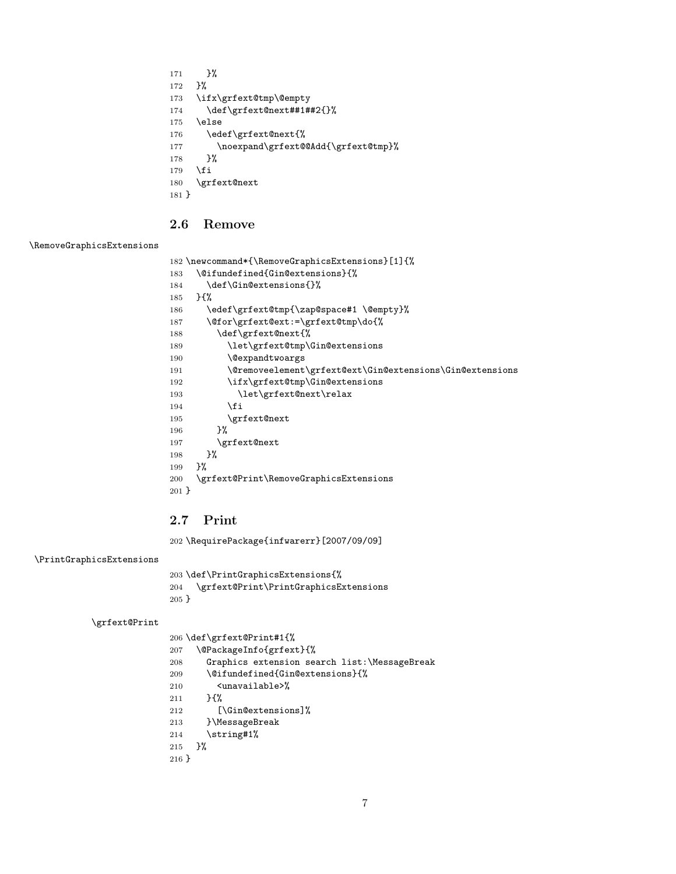<span id="page-6-16"></span><span id="page-6-15"></span><span id="page-6-14"></span><span id="page-6-3"></span> }% }% \ifx\grfext@tmp\@empty 174 \def\grfext@next##1##2{}% \else \edef\grfext@next{% 177 \noexpand\grfext@@Add{\grfext@tmp}% }% \fi \grfext@next }

## <span id="page-6-17"></span><span id="page-6-0"></span>2.6 Remove

#### <span id="page-6-29"></span>\RemoveGraphicsExtensions

```
182 \newcommand*{\RemoveGraphicsExtensions}[1]{%
```
<span id="page-6-7"></span> \@ifundefined{Gin@extensions}{% 184 \def\Gin@extensions{}%

```
185 }{%
186 \edef\grfext@tmp{\zap@space#1 \@empty}%
187 \@for\grfext@ext:=\grfext@tmp\do{%
188 \def\grfext@next{%
189 \let\grfext@tmp\Gin@extensions
190 \@expandtwoargs
191 \@removeelement\grfext@ext\Gin@extensions\Gin@extensions
192 \ifx\grfext@tmp\Gin@extensions
193 \let\grfext@next\relax
194 \qquad \qquad \fi
195 \grfext@next
196 }%
197 \grfext@next
198 }%
199 }%
200 \grfext@Print\RemoveGraphicsExtensions
201 }
```
## <span id="page-6-22"></span><span id="page-6-21"></span><span id="page-6-20"></span><span id="page-6-1"></span>2.7 Print

<span id="page-6-30"></span>\RequirePackage{infwarerr}[2007/09/09]

<span id="page-6-28"></span>\PrintGraphicsExtensions

<span id="page-6-23"></span> \def\PrintGraphicsExtensions{% \grfext@Print\PrintGraphicsExtensions }

<span id="page-6-24"></span>\grfext@Print

\def\grfext@Print#1{%

<span id="page-6-26"></span><span id="page-6-25"></span><span id="page-6-13"></span><span id="page-6-8"></span><span id="page-6-2"></span> \@PackageInfo{grfext}{% Graphics extension search list:\MessageBreak \@ifundefined{Gin@extensions}{% <unavailable>% }{% [\Gin@extensions]% }\MessageBreak \string#1% }% }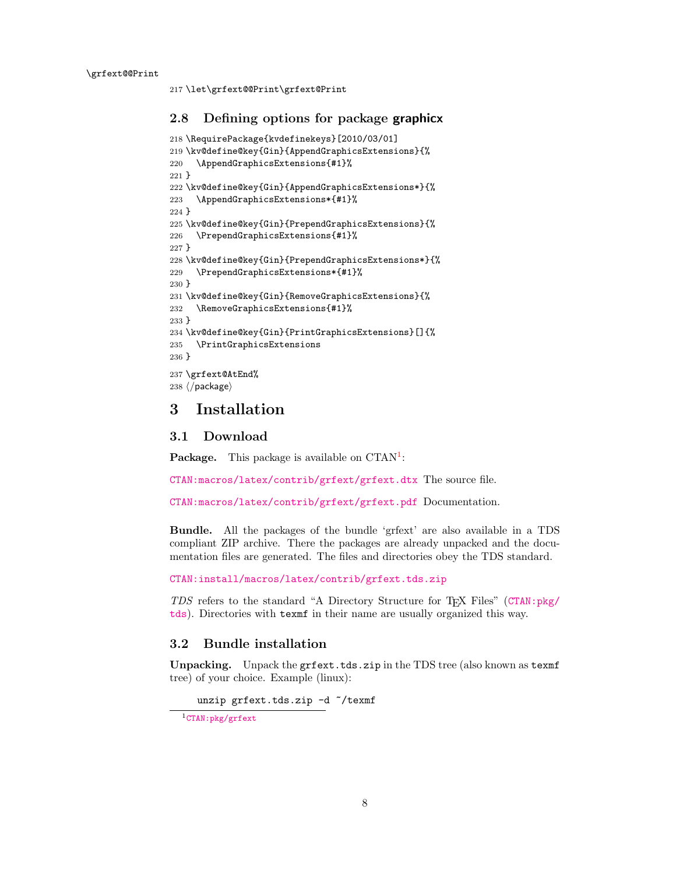<span id="page-7-9"></span><span id="page-7-7"></span>217 \let\grfext@@Print\grfext@Print

### <span id="page-7-0"></span>2.8 Defining options for package graphicx

```
218 \RequirePackage{kvdefinekeys}[2010/03/01]
219 \kv@define@key{Gin}{AppendGraphicsExtensions}{%
220 \AppendGraphicsExtensions{#1}%
221 }
222 \kv@define@key{Gin}{AppendGraphicsExtensions*}{%
223 \AppendGraphicsExtensions*{#1}%
224 }
225 \kv@define@key{Gin}{PrependGraphicsExtensions}{%
226 \PrependGraphicsExtensions{#1}%
227 }
228 \kv@define@key{Gin}{PrependGraphicsExtensions*}{%
229 \PrependGraphicsExtensions*{#1}%
230 }
231 \kv@define@key{Gin}{RemoveGraphicsExtensions}{%
232 \RemoveGraphicsExtensions{#1}%
233 }
234 \kv@define@key{Gin}{PrintGraphicsExtensions}[]{%
235 \PrintGraphicsExtensions
236 }
237 \grfext@AtEnd%
238 \langle/package\rangle
```
## <span id="page-7-19"></span><span id="page-7-18"></span><span id="page-7-15"></span><span id="page-7-14"></span><span id="page-7-8"></span><span id="page-7-1"></span>3 Installation

### <span id="page-7-2"></span>3.1 Download

**Package.** This package is available on  $CTAN^1$  $CTAN^1$ :

[CTAN:macros/latex/contrib/grfext/grfext.dtx](https://ctan.org/tex-archive/macros/latex/contrib/grfext/grfext.dtx) The source file.

[CTAN:macros/latex/contrib/grfext/grfext.pdf](https://ctan.org/tex-archive/macros/latex/contrib/grfext/grfext.pdf) Documentation.

Bundle. All the packages of the bundle 'grfext' are also available in a TDS compliant ZIP archive. There the packages are already unpacked and the documentation files are generated. The files and directories obey the TDS standard.

[CTAN:install/macros/latex/contrib/grfext.tds.zip](http://mirrors.ctan.org/install/macros/latex/contrib/grfext.tds.zip)

TDS refers to the standard "A Directory Structure for TEX Files" ([CTAN:pkg/](http://ctan.org/pkg/tds) [tds](http://ctan.org/pkg/tds)). Directories with texmf in their name are usually organized this way.

### <span id="page-7-3"></span>3.2 Bundle installation

Unpacking. Unpack the grfext.tds.zip in the TDS tree (also known as texmf tree) of your choice. Example (linux):

unzip grfext.tds.zip -d "/texmf

<span id="page-7-4"></span><sup>1</sup>[CTAN:pkg/grfext](http://ctan.org/pkg/grfext)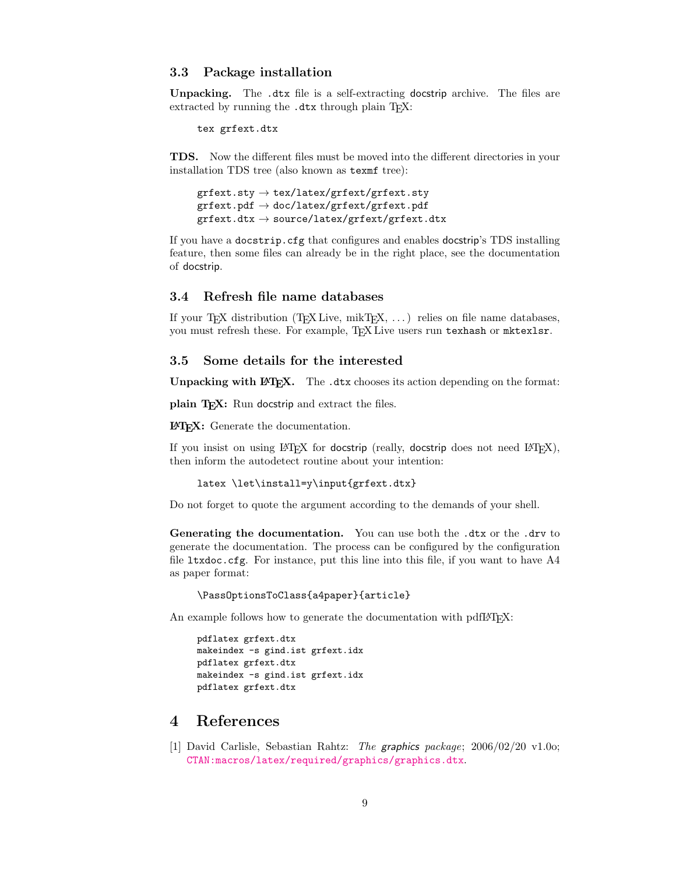#### <span id="page-8-0"></span>3.3 Package installation

Unpacking. The .dtx file is a self-extracting docstrip archive. The files are extracted by running the  $.$ dtx through plain T<sub>E</sub>X:

tex grfext.dtx

TDS. Now the different files must be moved into the different directories in your installation TDS tree (also known as texmf tree):

```
\texttt{grfext.sty} \rightarrow \texttt{tex/latex/grfext/grfext.sty}grfext.pdf → doc/latex/grfext/grfext.pdf
grfext. dt x \rightarrow source/lates/grfext/grfext. dt x
```
If you have a docstrip.cfg that configures and enables docstrip's TDS installing feature, then some files can already be in the right place, see the documentation of docstrip.

### <span id="page-8-1"></span>3.4 Refresh file name databases

If your T<sub>E</sub>X distribution  $(TEX\text{ Live}, \text{mikTrX}, \ldots)$  relies on file name databases, you must refresh these. For example, TEX Live users run texhash or mktexlsr.

### <span id="page-8-2"></span>3.5 Some details for the interested

Unpacking with LAT<sub>E</sub>X. The .dtx chooses its action depending on the format:

plain T<sub>E</sub>X: Run docstrip and extract the files.

LATEX: Generate the documentation.

If you insist on using  $L^2T_FX$  for docstrip (really, docstrip does not need  $L^2T_FX$ ), then inform the autodetect routine about your intention:

```
latex \let\install=y\input{grfext.dtx}
```
Do not forget to quote the argument according to the demands of your shell.

Generating the documentation. You can use both the .dtx or the .drv to generate the documentation. The process can be configured by the configuration file ltxdoc.cfg. For instance, put this line into this file, if you want to have A4 as paper format:

\PassOptionsToClass{a4paper}{article}

An example follows how to generate the documentation with pdfI4T<sub>F</sub>X:

```
pdflatex grfext.dtx
makeindex -s gind.ist grfext.idx
pdflatex grfext.dtx
makeindex -s gind.ist grfext.idx
pdflatex grfext.dtx
```
## <span id="page-8-3"></span>4 References

<span id="page-8-4"></span>[1] David Carlisle, Sebastian Rahtz: The graphics package; 2006/02/20 v1.0o; [CTAN:macros/latex/required/graphics/graphics.dtx](https://ctan.org/tex-archive/macros/latex/required/graphics/graphics.dtx).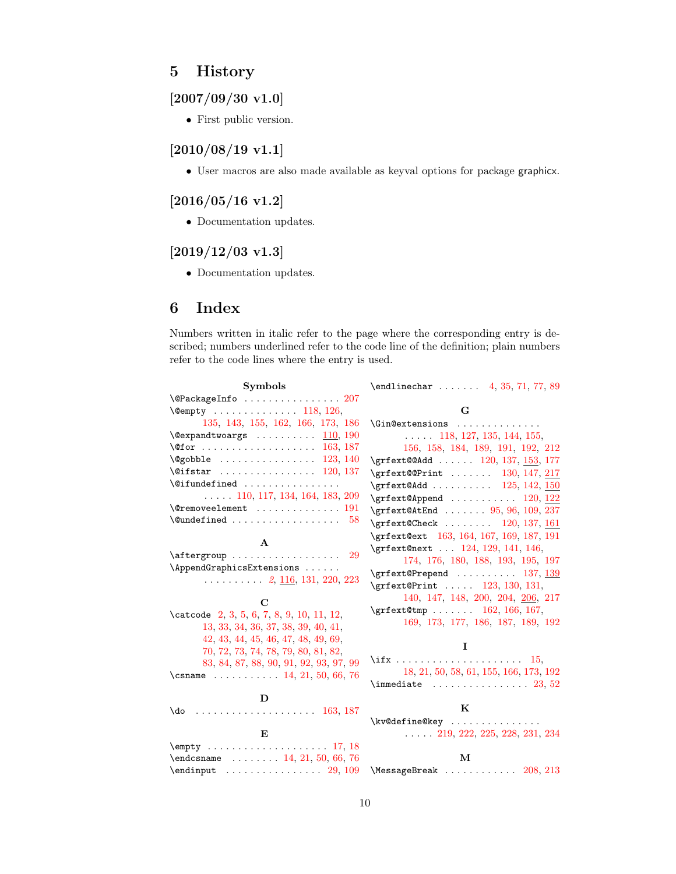## <span id="page-9-0"></span>5 History

## <span id="page-9-1"></span> $[2007/09/30 v1.0]$

• First public version.

## <span id="page-9-2"></span>[2010/08/19 v1.1]

• User macros are also made available as keyval options for package graphicx.

## <span id="page-9-3"></span>[2016/05/16 v1.2]

• Documentation updates.

## <span id="page-9-4"></span> $[2019/12/03 \text{ v}1.3]$

• Documentation updates.

## <span id="page-9-5"></span>6 Index

Numbers written in italic refer to the page where the corresponding entry is described; numbers underlined refer to the code line of the definition; plain numbers refer to the code lines where the entry is used.

| <b>Symbols</b>                                            | $\end{i}$ redlinechar  4, 35, 71, 77, 89                          |
|-----------------------------------------------------------|-------------------------------------------------------------------|
| $\text{QPackageInfo} \dots \dots \dots \dots \dots \ 207$ |                                                                   |
| $\text{Cempty}$ 118, 126,                                 | G                                                                 |
| 135, 143, 155, 162, 166, 173, 186                         | \Gin@extensions                                                   |
| $\text{Qevpandtwoargs}$ 110, 190                          | $\ldots$ 118, 127, 135, 144, 155,                                 |
|                                                           | 156, 158, 184, 189, 191, 192, 212                                 |
| $\qquad$ Qgobble  123, 140                                | \grfext@@Add  120, 137, <u>153</u> , 177                          |
| $\texttt{\textbackslash} 120, 137$                        | \grfext@@Print  130, 147, 217                                     |
| $\setminus$ Cifundefined                                  | $\sqrt{25, 142, 150}$                                             |
| $\ldots$ 110, 117, 134, 164, 183, 209                     | $\sqrt{grfext@Append \ldots \ldots \ldots \ldots \frac{120, 122}$ |
| $\text{Vermoveelement}$ 191                               | $\sqrt{grfext0AtEnd}$ 95, 96, 109, 237                            |
| 58                                                        | \grfext@Check  120, 137, 161                                      |
|                                                           | \grfext@ext 163, 164, 167, 169, 187, 191                          |
| A                                                         | \grfext@next  124, 129, 141, 146,                                 |
| $\after group \dots \dots \dots \dots \dots$<br>-29       | 174, 176, 180, 188, 193, 195, 197                                 |
| \AppendGraphicsExtensions                                 | $\sqrt{grfext}$ OPrepend  137, 139                                |
| $\ldots$ 2, 116, 131, 220, 223                            | \grfext@Print  123, 130, 131,                                     |
| $\mathbf C$                                               | 140, 147, 148, 200, 204, 206, 217                                 |
| \catcode 2, 3, 5, 6, 7, 8, 9, 10, 11, 12,                 | $\sqrt{grfext0tmp}$ 162, 166, 167,                                |
| 13, 33, 34, 36, 37, 38, 39, 40, 41,                       | 169, 173, 177, 186, 187, 189, 192                                 |
| 42, 43, 44, 45, 46, 47, 48, 49, 69,                       |                                                                   |
| 70, 72, 73, 74, 78, 79, 80, 81, 82,                       | L                                                                 |
| 83, 84, 87, 88, 90, 91, 92, 93, 97, 99                    |                                                                   |
| \csname $\ldots \ldots \ldots$ 14, 21, 50, 66, 76         | 18, 21, 50, 58, 61, 155, 166, 173, 192                            |
|                                                           | $\lambda$ 23, 52                                                  |
| D                                                         |                                                                   |
|                                                           | K                                                                 |
|                                                           | \kv@define@key                                                    |
| E                                                         | $\ldots$ 219, 222, 225, 228, 231, 234                             |
|                                                           |                                                                   |
| $\end{math}$ canonic $\ldots \ldots 14, 21, 50, 66, 76$   | М                                                                 |
| $\end{imput}$ 29, 109                                     | $\text{MessageBreak} \dots \dots \dots \dots 208, 213$            |